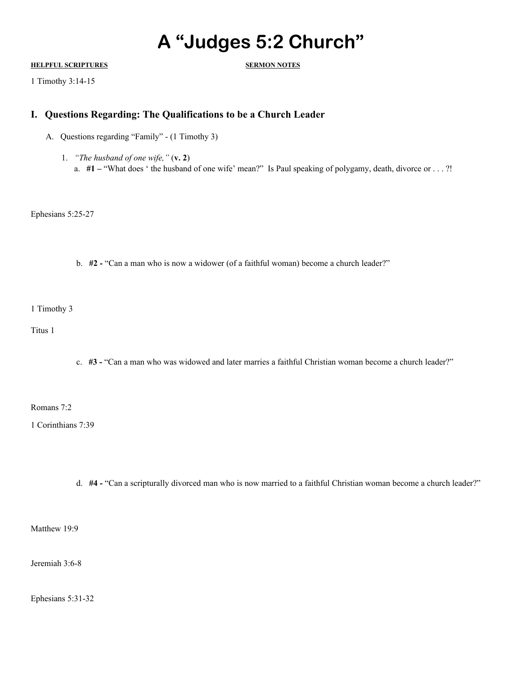## **A "Judges 5:2 Church"**

## **HELPFUL SCRIPTURES SERMON NOTES**

1 Timothy 3:14-15

## **I. Questions Regarding: The Qualifications to be a Church Leader**

- A. Questions regarding "Family" (1 Timothy 3)
	- 1. *"The husband of one wife,"* (**v. 2**) a. **#1 –** "What does ' the husband of one wife' mean?" Is Paul speaking of polygamy, death, divorce or . . . ?!

Ephesians 5:25-27

b. **#2 -** "Can a man who is now a widower (of a faithful woman) become a church leader?"

1 Timothy 3

Titus 1

c. **#3 -** "Can a man who was widowed and later marries a faithful Christian woman become a church leader?"

Romans 7:2

1 Corinthians 7:39

d. **#4 -** "Can a scripturally divorced man who is now married to a faithful Christian woman become a church leader?"

Matthew 19:9

Jeremiah 3:6-8

Ephesians 5:31-32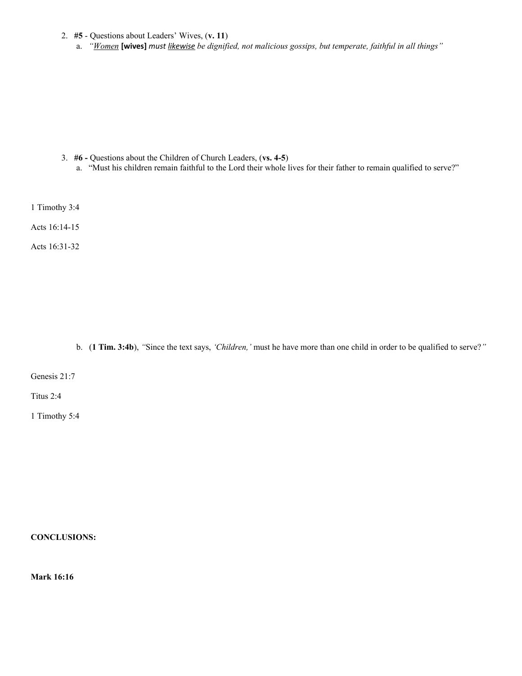- 2. **#5** Questions about Leaders' Wives, (**v. 11**)
	- a. *"Women* **[wives]** *must likewise be dignified, not malicious gossips, but temperate, faithful in all things"*

- 3. **#6** Questions about the Children of Church Leaders, (**vs. 4-5**)
	- a. "Must his children remain faithful to the Lord their whole lives for their father to remain qualified to serve?"

1 Timothy 3:4

Acts 16:14-15

Acts 16:31-32

b. (**1 Tim. 3:4b**), *"*Since the text says, *'Children,'* must he have more than one child in order to be qualified to serve?*"*

Genesis 21:7

Titus 2:4

1 Timothy 5:4

**CONCLUSIONS:**

**Mark 16:16**